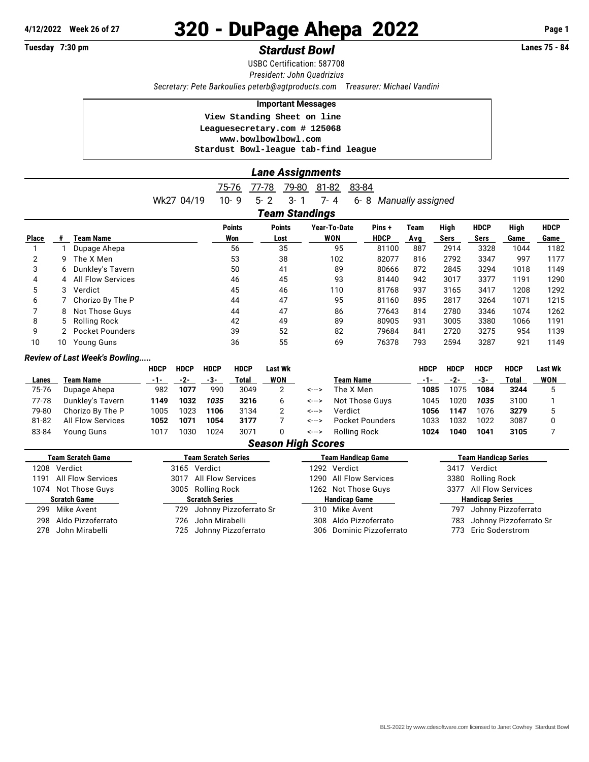# **4/12/2022 Week 26 of 27** 320 - DuPage Ahepa 2022 **Page 1**

## **Tuesday 7:30 pm** *Stardust Bowl* **Lanes 75 - 84**

USBC Certification: 587708 *President: John Quadrizius Secretary: Pete Barkoulies [peterb@agtproducts.com](mailto:peterb@agtproducts.com) Treasurer: Michael Vandini*

#### **Important Messages**

 **View Standing Sheet on line**

 **Leaguesecretary.com # 125068 <www.bowlbowlbowl.com>**

 **Stardust Bowl-league tab-find league**

### *Lane Assignments*

|                       |    |                          | 75-76         | 77-78<br>79-80 | 81-82        | 83-84       |                   |      |             |      |             |
|-----------------------|----|--------------------------|---------------|----------------|--------------|-------------|-------------------|------|-------------|------|-------------|
|                       |    | Wk27 04/19               | $10 - 9$      | $5 - 2$<br>3-  | 7-4          | $6 - 8$     | Manually assigned |      |             |      |             |
| <b>Team Standings</b> |    |                          |               |                |              |             |                   |      |             |      |             |
|                       |    |                          | <b>Points</b> | <b>Points</b>  | Year-To-Date | Pins+       | Team              | High | <b>HDCP</b> | High | <b>HDCP</b> |
| <b>Place</b>          |    | <b>Team Name</b>         | Won           | Lost           | WON          | <b>HDCP</b> | Avg               | Sers | Sers        | Game | Game        |
|                       |    | Dupage Ahepa             | 56            | 35             | 95           | 81100       | 887               | 2914 | 3328        | 1044 | 1182        |
| 2                     | 9  | The X Men                | 53            | 38             | 102          | 82077       | 816               | 2792 | 3347        | 997  | 1177        |
| 3                     | 6  | Dunkley's Tavern         | 50            | 41             | 89           | 80666       | 872               | 2845 | 3294        | 1018 | 1149        |
| 4                     | 4  | <b>All Flow Services</b> | 46            | 45             | 93           | 81440       | 942               | 3017 | 3377        | 1191 | 1290        |
| 5                     | 3  | Verdict                  | 45            | 46             | 110          | 81768       | 937               | 3165 | 3417        | 1208 | 1292        |
| 6                     |    | Chorizo By The P         | 44            | 47             | 95           | 81160       | 895               | 2817 | 3264        | 1071 | 1215        |
|                       | 8. | Not Those Guys           | 44            | 47             | 86           | 77643       | 814               | 2780 | 3346        | 1074 | 1262        |
| 8                     | 5. | Rolling Rock             | 42            | 49             | 89           | 80905       | 931               | 3005 | 3380        | 1066 | 1191        |
| 9                     |    | <b>Pocket Pounders</b>   | 39            | 52             | 82           | 79684       | 841               | 2720 | 3275        | 954  | 1139        |
| 10                    | 10 | <b>Young Guns</b>        | 36            | 55             | 69           | 76378       | 793               | 2594 | 3287        | 921  | 1149        |

#### *Review of Last Week's Bowling.....*

|                           |                          | <b>HDCP</b> | <b>HDCP</b> | <b>HDCP</b> | <b>HDCP</b> | Last Wk |       |                  | <b>HDCP</b> | <b>HDCP</b> | <b>HDCP</b> | <b>HDCP</b> | Last Wk |
|---------------------------|--------------------------|-------------|-------------|-------------|-------------|---------|-------|------------------|-------------|-------------|-------------|-------------|---------|
| Lanes                     | Team Name                | $-1-$       | -2-         | -3-         | Total       | WON     |       | <b>Team Name</b> | $-1-$       | -2-         | -3-         | Total       | WON     |
| 75-76                     | Dupage Ahepa             | 982         | 1077        | 990         | 3049        | 2       | <---> | The X Men        | 1085        | 1075        | 1084        | 3244        |         |
| 77-78                     | Dunkley's Tavern         | 1149        | 1032        | 1035        | 3216        | 6       | <---> | Not Those Guvs   | 1045        | 1020        | 1035        | 3100        |         |
| 79-80                     | Chorizo By The P         | 1005        | 1023        | 1106        | 3134        |         | <---> | Verdict          | 1056        | 1147        | 1076        | 3279        |         |
| 81-82                     | <b>All Flow Services</b> | 1052        | 1071        | 1054        | 3177        |         | <---> | Pocket Pounders  | 1033        | 1032        | 1022        | 3087        |         |
| 83-84                     | Young Guns               | 1017        | 1030        | 1024        | 3071        |         | <---> | Rolling Rock     | 1024        | 1040        | 1041        | 3105        |         |
| <b>Season High Scores</b> |                          |             |             |             |             |         |       |                  |             |             |             |             |         |

|      | <b>Team Scratch Game</b> | <b>Team Scratch Series</b> |                            |  | <b>Team Handicap Game</b> | <b>Team Handicap Series</b> |                            |  |  |
|------|--------------------------|----------------------------|----------------------------|--|---------------------------|-----------------------------|----------------------------|--|--|
|      | 1208 Verdict             |                            | 3165 Verdict               |  | 1292 Verdict              |                             | 3417 Verdict               |  |  |
| 1191 | All Flow Services        |                            | 3017 All Flow Services     |  | 1290 All Flow Services    |                             | 3380 Rolling Rock          |  |  |
|      | 1074 Not Those Guys      |                            | 3005 Rolling Rock          |  | 1262 Not Those Guys       |                             | 3377 All Flow Services     |  |  |
|      | <b>Scratch Game</b>      | <b>Scratch Series</b>      |                            |  | <b>Handicap Game</b>      | <b>Handicap Series</b>      |                            |  |  |
| 299  | Mike Avent               |                            | 729 Johnny Pizzoferrato Sr |  | 310 Mike Avent            | 797.                        | Johnny Pizzoferrato        |  |  |
| 298  | Aldo Pizzoferrato        |                            | 726 John Mirabelli         |  | 308 Aldo Pizzoferrato     |                             | 783 Johnny Pizzoferrato Sr |  |  |
|      | 278 John Mirabelli       |                            | 725 Johnny Pizzoferrato    |  | 306 Dominic Pizzoferrato  |                             | 773 Eric Soderstrom        |  |  |
|      |                          |                            |                            |  |                           |                             |                            |  |  |